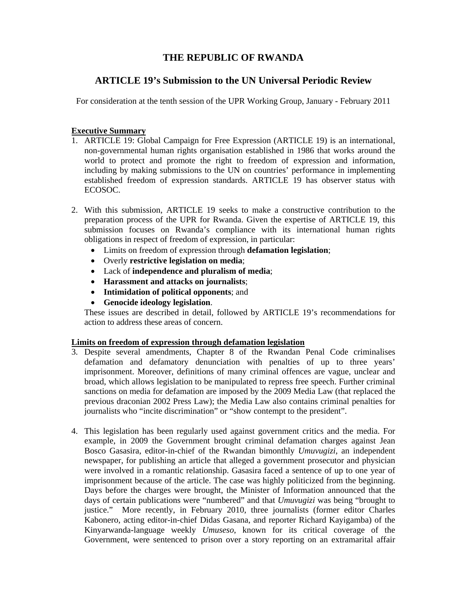# **THE REPUBLIC OF RWANDA**

## **ARTICLE 19's Submission to the UN Universal Periodic Review**

For consideration at the tenth session of the UPR Working Group, January - February 2011

### **Executive Summary**

- 1. ARTICLE 19: Global Campaign for Free Expression (ARTICLE 19) is an international, non-governmental human rights organisation established in 1986 that works around the world to protect and promote the right to freedom of expression and information, including by making submissions to the UN on countries' performance in implementing established freedom of expression standards. ARTICLE 19 has observer status with ECOSOC.
- 2. With this submission, ARTICLE 19 seeks to make a constructive contribution to the preparation process of the UPR for Rwanda. Given the expertise of ARTICLE 19, this submission focuses on Rwanda's compliance with its international human rights obligations in respect of freedom of expression, in particular:
	- Limits on freedom of expression through **defamation legislation**;
	- Overly **restrictive legislation on media**;
	- Lack of **independence and pluralism of media**;
	- **Harassment and attacks on journalists**;
	- **Intimidation of political opponents**; and
	- **Genocide ideology legislation**.

These issues are described in detail, followed by ARTICLE 19's recommendations for action to address these areas of concern.

## **Limits on freedom of expression through defamation legislation**

- 3. Despite several amendments, Chapter 8 of the Rwandan Penal Code criminalises defamation and defamatory denunciation with penalties of up to three years' imprisonment. Moreover, definitions of many criminal offences are vague, unclear and broad, which allows legislation to be manipulated to repress free speech. Further criminal sanctions on media for defamation are imposed by the 2009 Media Law (that replaced the previous draconian 2002 Press Law); the Media Law also contains criminal penalties for journalists who "incite discrimination" or "show contempt to the president".
- 4. This legislation has been regularly used against government critics and the media. For example, in 2009 the Government brought criminal defamation charges against Jean Bosco Gasasira, editor-in-chief of the Rwandan bimonthly *Umuvugizi*, an independent newspaper, for publishing an article that alleged a government prosecutor and physician were involved in a romantic relationship. Gasasira faced a sentence of up to one year of imprisonment because of the article. The case was highly politicized from the beginning. Days before the charges were brought, the Minister of Information announced that the days of certain publications were "numbered" and that *Umuvugizi* was being "brought to justice." More recently, in February 2010, three journalists (former editor Charles Kabonero, acting editor-in-chief Didas Gasana, and reporter Richard Kayigamba) of the Kinyarwanda-language weekly *Umuseso*, known for its critical coverage of the Government, were sentenced to prison over a story reporting on an extramarital affair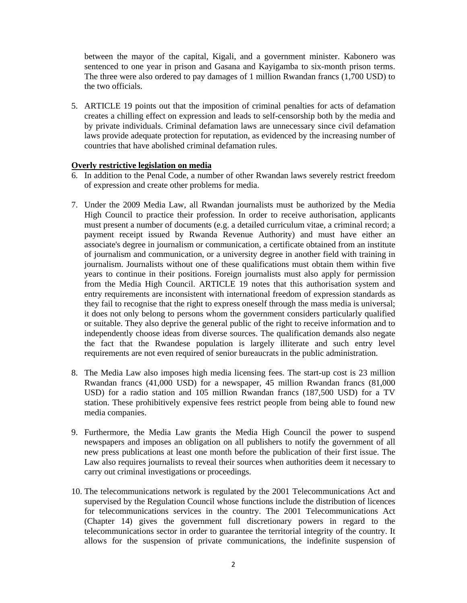between the mayor of the capital, Kigali, and a government minister. Kabonero was sentenced to one year in prison and Gasana and Kayigamba to six-month prison terms. The three were also ordered to pay damages of 1 million Rwandan francs (1,700 USD) to the two officials.

5. ARTICLE 19 points out that the imposition of criminal penalties for acts of defamation creates a chilling effect on expression and leads to self-censorship both by the media and by private individuals. Criminal defamation laws are unnecessary since civil defamation laws provide adequate protection for reputation, as evidenced by the increasing number of countries that have abolished criminal defamation rules.

#### **Overly restrictive legislation on media**

- 6. In addition to the Penal Code, a number of other Rwandan laws severely restrict freedom of expression and create other problems for media.
- 7. Under the 2009 Media Law, all Rwandan journalists must be authorized by the Media High Council to practice their profession. In order to receive authorisation, applicants must present a number of documents (e.g. a detailed curriculum vitae, a criminal record; a payment receipt issued by Rwanda Revenue Authority) and must have either an associate's degree in journalism or communication, a certificate obtained from an institute of journalism and communication, or a university degree in another field with training in journalism. Journalists without one of these qualifications must obtain them within five years to continue in their positions. Foreign journalists must also apply for permission from the Media High Council. ARTICLE 19 notes that this authorisation system and entry requirements are inconsistent with international freedom of expression standards as they fail to recognise that the right to express oneself through the mass media is universal; it does not only belong to persons whom the government considers particularly qualified or suitable. They also deprive the general public of the right to receive information and to independently choose ideas from diverse sources. The qualification demands also negate the fact that the Rwandese population is largely illiterate and such entry level requirements are not even required of senior bureaucrats in the public administration.
- 8. The Media Law also imposes high media licensing fees. The start-up cost is 23 million Rwandan francs (41,000 USD) for a newspaper, 45 million Rwandan francs (81,000 USD) for a radio station and 105 million Rwandan francs (187,500 USD) for a TV station. These prohibitively expensive fees restrict people from being able to found new media companies.
- 9. Furthermore, the Media Law grants the Media High Council the power to suspend newspapers and imposes an obligation on all publishers to notify the government of all new press publications at least one month before the publication of their first issue. The Law also requires journalists to reveal their sources when authorities deem it necessary to carry out criminal investigations or proceedings.
- 10. The telecommunications network is regulated by the 2001 Telecommunications Act and supervised by the Regulation Council whose functions include the distribution of licences for telecommunications services in the country. The 2001 Telecommunications Act (Chapter 14) gives the government full discretionary powers in regard to the telecommunications sector in order to guarantee the territorial integrity of the country. It allows for the suspension of private communications, the indefinite suspension of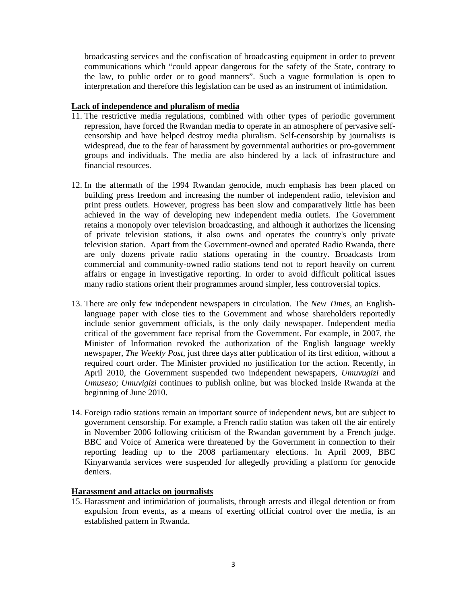broadcasting services and the confiscation of broadcasting equipment in order to prevent communications which "could appear dangerous for the safety of the State, contrary to the law, to public order or to good manners". Such a vague formulation is open to interpretation and therefore this legislation can be used as an instrument of intimidation.

#### **Lack of independence and pluralism of media**

- 11. The restrictive media regulations, combined with other types of periodic government repression, have forced the Rwandan media to operate in an atmosphere of pervasive selfcensorship and have helped destroy media pluralism. Self-censorship by journalists is widespread, due to the fear of harassment by governmental authorities or pro-government groups and individuals. The media are also hindered by a lack of infrastructure and financial resources.
- 12. In the aftermath of the 1994 Rwandan genocide, much emphasis has been placed on building press freedom and increasing the number of independent radio, television and print press outlets. However, progress has been slow and comparatively little has been achieved in the way of developing new independent media outlets. The Government retains a monopoly over television broadcasting, and although it authorizes the licensing of private television stations, it also owns and operates the country's only private television station. Apart from the Government-owned and operated Radio Rwanda, there are only dozens private radio stations operating in the country. Broadcasts from commercial and community-owned radio stations tend not to report heavily on current affairs or engage in investigative reporting. In order to avoid difficult political issues many radio stations orient their programmes around simpler, less controversial topics.
- 13. There are only few independent newspapers in circulation. The *New Times*, an Englishlanguage paper with close ties to the Government and whose shareholders reportedly include senior government officials, is the only daily newspaper. Independent media critical of the government face reprisal from the Government. For example, in 2007, the Minister of Information revoked the authorization of the English language weekly newspaper, *The Weekly Post*, just three days after publication of its first edition, without a required court order. The Minister provided no justification for the action. Recently, in April 2010, the Government suspended two independent newspapers, *Umuvugizi* and *Umuseso*; *Umuvigizi* continues to publish online, but was blocked inside Rwanda at the beginning of June 2010.
- 14. Foreign radio stations remain an important source of independent news, but are subject to government censorship. For example, a French radio station was taken off the air entirely in November 2006 following criticism of the Rwandan government by a French judge. BBC and Voice of America were threatened by the Government in connection to their reporting leading up to the 2008 parliamentary elections. In April 2009, BBC Kinyarwanda services were suspended for allegedly providing a platform for genocide deniers.

### **Harassment and attacks on journalists**

15. Harassment and intimidation of journalists, through arrests and illegal detention or from expulsion from events, as a means of exerting official control over the media, is an established pattern in Rwanda.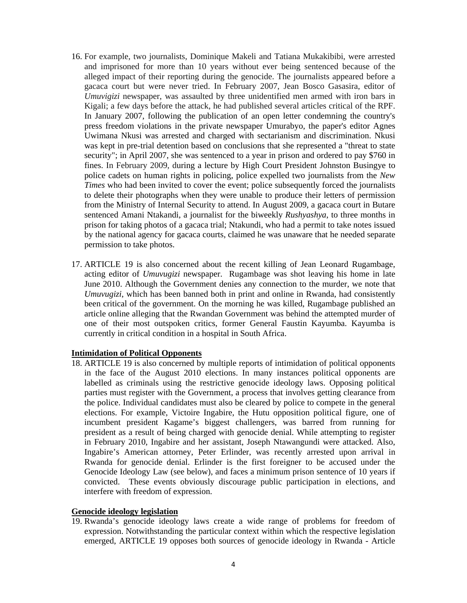- 16. For example, two journalists, Dominique Makeli and Tatiana Mukakibibi, were arrested and imprisoned for more than 10 years without ever being sentenced because of the alleged impact of their reporting during the genocide. The journalists appeared before a gacaca court but were never tried. In February 2007, Jean Bosco Gasasira, editor of *Umuvigizi* newspaper, was assaulted by three unidentified men armed with iron bars in Kigali; a few days before the attack, he had published several articles critical of the RPF. In January 2007, following the publication of an open letter condemning the country's press freedom violations in the private newspaper Umurabyo, the paper's editor Agnes Uwimana Nkusi was arrested and charged with sectarianism and discrimination. Nkusi was kept in pre-trial detention based on conclusions that she represented a "threat to state security"; in April 2007, she was sentenced to a year in prison and ordered to pay \$760 in fines. In February 2009, during a lecture by High Court President Johnston Busingye to police cadets on human rights in policing, police expelled two journalists from the *New Times* who had been invited to cover the event; police subsequently forced the journalists to delete their photographs when they were unable to produce their letters of permission from the Ministry of Internal Security to attend. In August 2009, a gacaca court in Butare sentenced Amani Ntakandi, a journalist for the biweekly *Rushyashya*, to three months in prison for taking photos of a gacaca trial; Ntakundi, who had a permit to take notes issued by the national agency for gacaca courts, claimed he was unaware that he needed separate permission to take photos.
- 17. ARTICLE 19 is also concerned about the recent killing of Jean Leonard Rugambage, acting editor of *Umuvugizi* newspaper. Rugambage was shot leaving his home in late June 2010. Although the Government denies any connection to the murder, we note that *Umuvugizi*, which has been banned both in print and online in Rwanda, had consistently been critical of the government. On the morning he was killed, Rugambage published an article online alleging that the Rwandan Government was behind the attempted murder of one of their most outspoken critics, former General Faustin Kayumba. Kayumba is currently in critical condition in a hospital in South Africa.

#### **Intimidation of Political Opponents**

18. ARTICLE 19 is also concerned by multiple reports of intimidation of political opponents in the face of the August 2010 elections. In many instances political opponents are labelled as criminals using the restrictive genocide ideology laws. Opposing political parties must register with the Government, a process that involves getting clearance from the police. Individual candidates must also be cleared by police to compete in the general elections. For example, Victoire Ingabire, the Hutu opposition political figure, one of incumbent president Kagame's biggest challengers, was barred from running for president as a result of being charged with genocide denial. While attempting to register in February 2010, Ingabire and her assistant, Joseph Ntawangundi were attacked. Also, Ingabire's American attorney, Peter Erlinder, was recently arrested upon arrival in Rwanda for genocide denial. Erlinder is the first foreigner to be accused under the Genocide Ideology Law (see below), and faces a minimum prison sentence of 10 years if convicted. These events obviously discourage public participation in elections, and interfere with freedom of expression.

### **Genocide ideology legislation**

19. Rwanda's genocide ideology laws create a wide range of problems for freedom of expression. Notwithstanding the particular context within which the respective legislation emerged, ARTICLE 19 opposes both sources of genocide ideology in Rwanda - Article